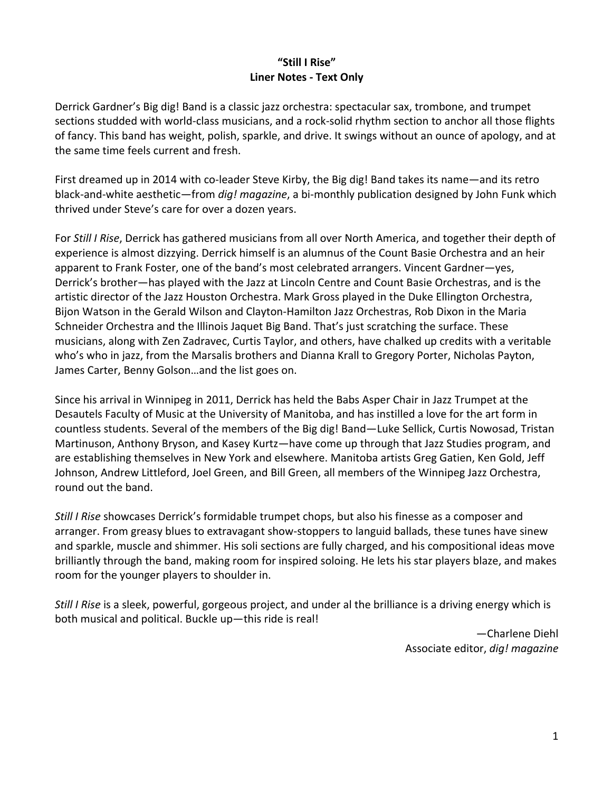## **"Still I Rise" Liner Notes - Text Only**

Derrick Gardner's Big dig! Band is a classic jazz orchestra: spectacular sax, trombone, and trumpet sections studded with world-class musicians, and a rock-solid rhythm section to anchor all those flights of fancy. This band has weight, polish, sparkle, and drive. It swings without an ounce of apology, and at the same time feels current and fresh.

First dreamed up in 2014 with co-leader Steve Kirby, the Big dig! Band takes its name—and its retro black-and-white aesthetic—from *dig! magazine*, a bi-monthly publication designed by John Funk which thrived under Steve's care for over a dozen years.

For *Still I Rise*, Derrick has gathered musicians from all over North America, and together their depth of experience is almost dizzying. Derrick himself is an alumnus of the Count Basie Orchestra and an heir apparent to Frank Foster, one of the band's most celebrated arrangers. Vincent Gardner—yes, Derrick's brother—has played with the Jazz at Lincoln Centre and Count Basie Orchestras, and is the artistic director of the Jazz Houston Orchestra. Mark Gross played in the Duke Ellington Orchestra, Bijon Watson in the Gerald Wilson and Clayton-Hamilton Jazz Orchestras, Rob Dixon in the Maria Schneider Orchestra and the Illinois Jaquet Big Band. That's just scratching the surface. These musicians, along with Zen Zadravec, Curtis Taylor, and others, have chalked up credits with a veritable who's who in jazz, from the Marsalis brothers and Dianna Krall to Gregory Porter, Nicholas Payton, James Carter, Benny Golson…and the list goes on.

Since his arrival in Winnipeg in 2011, Derrick has held the Babs Asper Chair in Jazz Trumpet at the Desautels Faculty of Music at the University of Manitoba, and has instilled a love for the art form in countless students. Several of the members of the Big dig! Band—Luke Sellick, Curtis Nowosad, Tristan Martinuson, Anthony Bryson, and Kasey Kurtz—have come up through that Jazz Studies program, and are establishing themselves in New York and elsewhere. Manitoba artists Greg Gatien, Ken Gold, Jeff Johnson, Andrew Littleford, Joel Green, and Bill Green, all members of the Winnipeg Jazz Orchestra, round out the band.

*Still I Rise* showcases Derrick's formidable trumpet chops, but also his finesse as a composer and arranger. From greasy blues to extravagant show-stoppers to languid ballads, these tunes have sinew and sparkle, muscle and shimmer. His soli sections are fully charged, and his compositional ideas move brilliantly through the band, making room for inspired soloing. He lets his star players blaze, and makes room for the younger players to shoulder in.

*Still I Rise* is a sleek, powerful, gorgeous project, and under al the brilliance is a driving energy which is both musical and political. Buckle up—this ride is real!

> —Charlene Diehl Associate editor, *dig! magazine*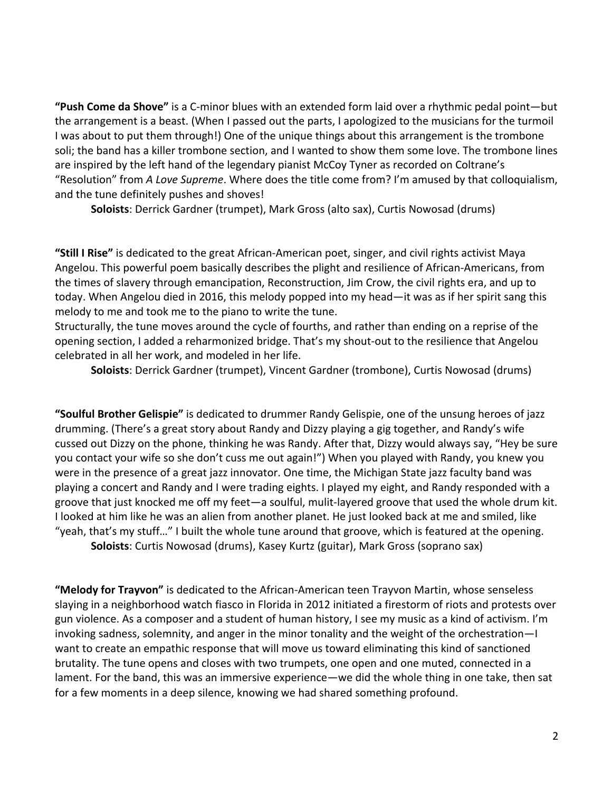**"Push Come da Shove"** is a C-minor blues with an extended form laid over a rhythmic pedal point—but the arrangement is a beast. (When I passed out the parts, I apologized to the musicians for the turmoil I was about to put them through!) One of the unique things about this arrangement is the trombone soli; the band has a killer trombone section, and I wanted to show them some love. The trombone lines are inspired by the left hand of the legendary pianist McCoy Tyner as recorded on Coltrane's "Resolution" from *A Love Supreme*. Where does the title come from? I'm amused by that colloquialism, and the tune definitely pushes and shoves!

**Soloists**: Derrick Gardner (trumpet), Mark Gross (alto sax), Curtis Nowosad (drums)

**"Still I Rise"** is dedicated to the great African-American poet, singer, and civil rights activist Maya Angelou. This powerful poem basically describes the plight and resilience of African-Americans, from the times of slavery through emancipation, Reconstruction, Jim Crow, the civil rights era, and up to today. When Angelou died in 2016, this melody popped into my head—it was as if her spirit sang this melody to me and took me to the piano to write the tune.

Structurally, the tune moves around the cycle of fourths, and rather than ending on a reprise of the opening section, I added a reharmonized bridge. That's my shout-out to the resilience that Angelou celebrated in all her work, and modeled in her life.

**Soloists**: Derrick Gardner (trumpet), Vincent Gardner (trombone), Curtis Nowosad (drums)

**"Soulful Brother Gelispie"** is dedicated to drummer Randy Gelispie, one of the unsung heroes of jazz drumming. (There's a great story about Randy and Dizzy playing a gig together, and Randy's wife cussed out Dizzy on the phone, thinking he was Randy. After that, Dizzy would always say, "Hey be sure you contact your wife so she don't cuss me out again!") When you played with Randy, you knew you were in the presence of a great jazz innovator. One time, the Michigan State jazz faculty band was playing a concert and Randy and I were trading eights. I played my eight, and Randy responded with a groove that just knocked me off my feet—a soulful, mulit-layered groove that used the whole drum kit. I looked at him like he was an alien from another planet. He just looked back at me and smiled, like "yeah, that's my stuff…" I built the whole tune around that groove, which is featured at the opening. **Soloists**: Curtis Nowosad (drums), Kasey Kurtz (guitar), Mark Gross (soprano sax)

**"Melody for Trayvon"** is dedicated to the African-American teen Trayvon Martin, whose senseless slaying in a neighborhood watch fiasco in Florida in 2012 initiated a firestorm of riots and protests over gun violence. As a composer and a student of human history, I see my music as a kind of activism. I'm invoking sadness, solemnity, and anger in the minor tonality and the weight of the orchestration—I want to create an empathic response that will move us toward eliminating this kind of sanctioned brutality. The tune opens and closes with two trumpets, one open and one muted, connected in a lament. For the band, this was an immersive experience—we did the whole thing in one take, then sat for a few moments in a deep silence, knowing we had shared something profound.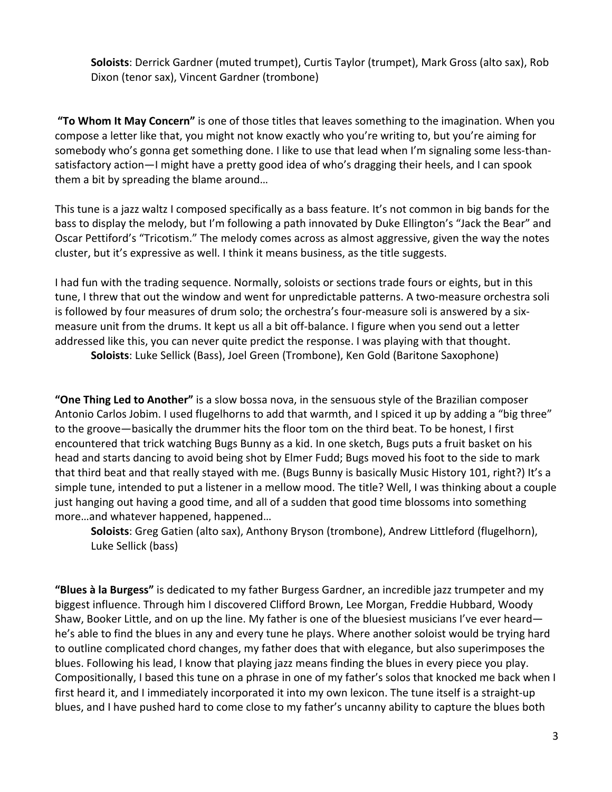**Soloists**: Derrick Gardner (muted trumpet), Curtis Taylor (trumpet), Mark Gross (alto sax), Rob Dixon (tenor sax), Vincent Gardner (trombone)

**"To Whom It May Concern"** is one of those titles that leaves something to the imagination. When you compose a letter like that, you might not know exactly who you're writing to, but you're aiming for somebody who's gonna get something done. I like to use that lead when I'm signaling some less-thansatisfactory action—I might have a pretty good idea of who's dragging their heels, and I can spook them a bit by spreading the blame around…

This tune is a jazz waltz I composed specifically as a bass feature. It's not common in big bands for the bass to display the melody, but I'm following a path innovated by Duke Ellington's "Jack the Bear" and Oscar Pettiford's "Tricotism." The melody comes across as almost aggressive, given the way the notes cluster, but it's expressive as well. I think it means business, as the title suggests.

I had fun with the trading sequence. Normally, soloists or sections trade fours or eights, but in this tune, I threw that out the window and went for unpredictable patterns. A two-measure orchestra soli is followed by four measures of drum solo; the orchestra's four-measure soli is answered by a sixmeasure unit from the drums. It kept us all a bit off-balance. I figure when you send out a letter addressed like this, you can never quite predict the response. I was playing with that thought.

**Soloists**: Luke Sellick (Bass), Joel Green (Trombone), Ken Gold (Baritone Saxophone)

**"One Thing Led to Another"** is a slow bossa nova, in the sensuous style of the Brazilian composer Antonio Carlos Jobim. I used flugelhorns to add that warmth, and I spiced it up by adding a "big three" to the groove—basically the drummer hits the floor tom on the third beat. To be honest, I first encountered that trick watching Bugs Bunny as a kid. In one sketch, Bugs puts a fruit basket on his head and starts dancing to avoid being shot by Elmer Fudd; Bugs moved his foot to the side to mark that third beat and that really stayed with me. (Bugs Bunny is basically Music History 101, right?) It's a simple tune, intended to put a listener in a mellow mood. The title? Well, I was thinking about a couple just hanging out having a good time, and all of a sudden that good time blossoms into something more…and whatever happened, happened…

**Soloists**: Greg Gatien (alto sax), Anthony Bryson (trombone), Andrew Littleford (flugelhorn), Luke Sellick (bass)

**"Blues à la Burgess"** is dedicated to my father Burgess Gardner, an incredible jazz trumpeter and my biggest influence. Through him I discovered Clifford Brown, Lee Morgan, Freddie Hubbard, Woody Shaw, Booker Little, and on up the line. My father is one of the bluesiest musicians I've ever heard he's able to find the blues in any and every tune he plays. Where another soloist would be trying hard to outline complicated chord changes, my father does that with elegance, but also superimposes the blues. Following his lead, I know that playing jazz means finding the blues in every piece you play. Compositionally, I based this tune on a phrase in one of my father's solos that knocked me back when I first heard it, and I immediately incorporated it into my own lexicon. The tune itself is a straight-up blues, and I have pushed hard to come close to my father's uncanny ability to capture the blues both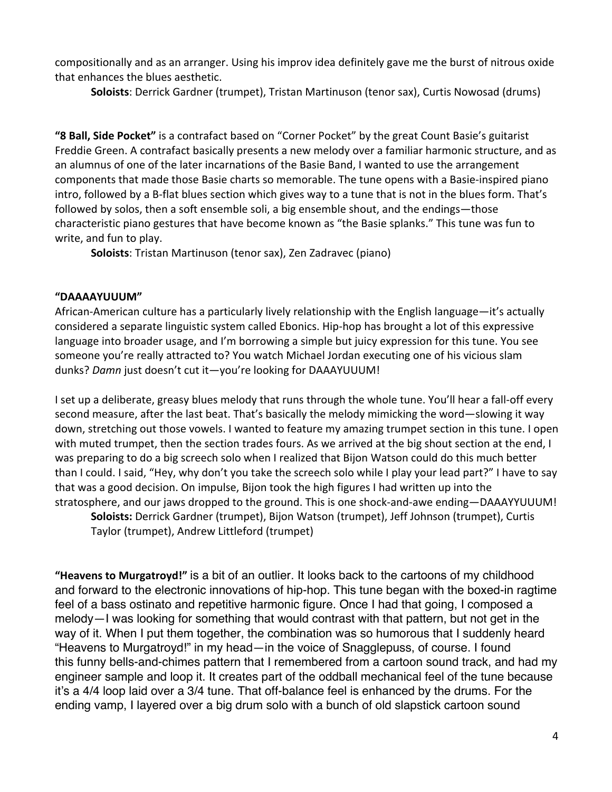compositionally and as an arranger. Using his improv idea definitely gave me the burst of nitrous oxide that enhances the blues aesthetic.

**Soloists**: Derrick Gardner (trumpet), Tristan Martinuson (tenor sax), Curtis Nowosad (drums)

**"8 Ball, Side Pocket"** is a contrafact based on "Corner Pocket" by the great Count Basie's guitarist Freddie Green. A contrafact basically presents a new melody over a familiar harmonic structure, and as an alumnus of one of the later incarnations of the Basie Band, I wanted to use the arrangement components that made those Basie charts so memorable. The tune opens with a Basie-inspired piano intro, followed by a B-flat blues section which gives way to a tune that is not in the blues form. That's followed by solos, then a soft ensemble soli, a big ensemble shout, and the endings—those characteristic piano gestures that have become known as "the Basie splanks." This tune was fun to write, and fun to play.

**Soloists**: Tristan Martinuson (tenor sax), Zen Zadravec (piano)

## **"DAAAAYUUUM"**

African-American culture has a particularly lively relationship with the English language—it's actually considered a separate linguistic system called Ebonics. Hip-hop has brought a lot of this expressive language into broader usage, and I'm borrowing a simple but juicy expression for this tune. You see someone you're really attracted to? You watch Michael Jordan executing one of his vicious slam dunks? *Damn* just doesn't cut it—you're looking for DAAAYUUUM!

I set up a deliberate, greasy blues melody that runs through the whole tune. You'll hear a fall-off every second measure, after the last beat. That's basically the melody mimicking the word—slowing it way down, stretching out those vowels. I wanted to feature my amazing trumpet section in this tune. I open with muted trumpet, then the section trades fours. As we arrived at the big shout section at the end, I was preparing to do a big screech solo when I realized that Bijon Watson could do this much better than I could. I said, "Hey, why don't you take the screech solo while I play your lead part?" I have to say that was a good decision. On impulse, Bijon took the high figures I had written up into the stratosphere, and our jaws dropped to the ground. This is one shock-and-awe ending—DAAAYYUUUM!

**Soloists:** Derrick Gardner (trumpet), Bijon Watson (trumpet), Jeff Johnson (trumpet), Curtis Taylor (trumpet), Andrew Littleford (trumpet)

**"Heavens to Murgatroyd!"** is a bit of an outlier. It looks back to the cartoons of my childhood and forward to the electronic innovations of hip-hop. This tune began with the boxed-in ragtime feel of a bass ostinato and repetitive harmonic figure. Once I had that going, I composed a melody—I was looking for something that would contrast with that pattern, but not get in the way of it. When I put them together, the combination was so humorous that I suddenly heard "Heavens to Murgatroyd!" in my head—in the voice of Snagglepuss, of course. I found this funny bells-and-chimes pattern that I remembered from a cartoon sound track, and had my engineer sample and loop it. It creates part of the oddball mechanical feel of the tune because it's a 4/4 loop laid over a 3/4 tune. That off-balance feel is enhanced by the drums. For the ending vamp, I layered over a big drum solo with a bunch of old slapstick cartoon sound